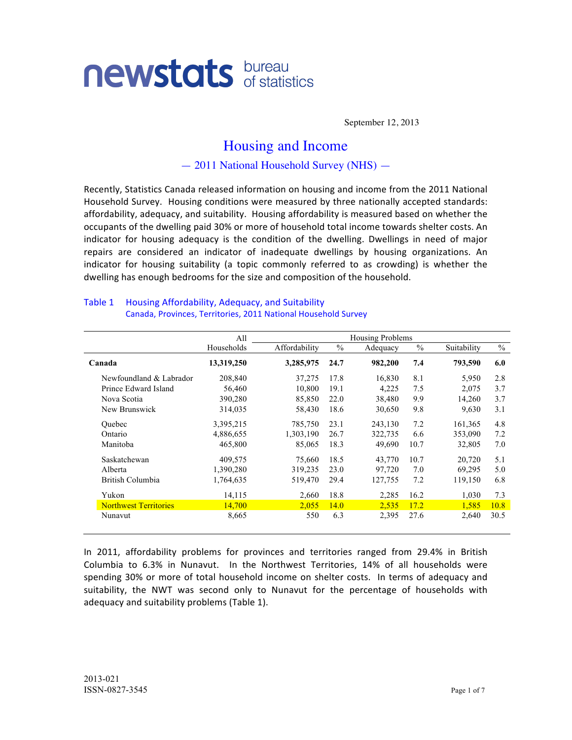# **newstats** bureau

September 12, 2013

# Housing and Income

— 2011 National Household Survey (NHS) —

Recently, Statistics Canada released information on housing and income from the 2011 National Household Survey. Housing conditions were measured by three nationally accepted standards: affordability, adequacy, and suitability. Housing affordability is measured based on whether the occupants of the dwelling paid 30% or more of household total income towards shelter costs. An indicator for housing adequacy is the condition of the dwelling. Dwellings in need of major repairs are considered an indicator of inadequate dwellings by housing organizations. An indicator for housing suitability (a) topic commonly referred to as crowding) is whether the dwelling has enough bedrooms for the size and composition of the household.

|                              | All        |               |               | <b>Housing Problems</b> |               |             |               |
|------------------------------|------------|---------------|---------------|-------------------------|---------------|-------------|---------------|
|                              | Households | Affordability | $\frac{0}{0}$ | Adequacy                | $\frac{0}{0}$ | Suitability | $\frac{0}{0}$ |
| Canada                       | 13,319,250 | 3,285,975     | 24.7          | 982,200                 | 7.4           | 793,590     | 6.0           |
| Newfoundland & Labrador      | 208,840    | 37,275        | 17.8          | 16,830                  | 8.1           | 5,950       | 2.8           |
| Prince Edward Island         | 56,460     | 10,800        | 19.1          | 4,225                   | 7.5           | 2,075       | 3.7           |
| Nova Scotia                  | 390,280    | 85,850        | 22.0          | 38,480                  | 9.9           | 14,260      | 3.7           |
| New Brunswick                | 314,035    | 58,430        | 18.6          | 30,650                  | 9.8           | 9,630       | 3.1           |
| Ouebec                       | 3,395,215  | 785,750       | 23.1          | 243,130                 | 7.2           | 161,365     | 4.8           |
| Ontario                      | 4,886,655  | 1,303,190     | 26.7          | 322,735                 | 6.6           | 353,090     | 7.2           |
| Manitoba                     | 465,800    | 85,065        | 18.3          | 49,690                  | 10.7          | 32,805      | 7.0           |
| Saskatchewan                 | 409,575    | 75,660        | 18.5          | 43,770                  | 10.7          | 20,720      | 5.1           |
| Alberta                      | 1,390,280  | 319,235       | 23.0          | 97,720                  | 7.0           | 69,295      | 5.0           |
| British Columbia             | 1,764,635  | 519,470       | 29.4          | 127,755                 | 7.2           | 119,150     | 6.8           |
| Yukon                        | 14,115     | 2,660         | 18.8          | 2,285                   | 16.2          | 1,030       | 7.3           |
| <b>Northwest Territories</b> | 14,700     | 2,055         | 14.0          | 2,535                   | 17.2          | 1,585       | 10.8          |
| Nunavut                      | 8,665      | 550           | 6.3           | 2,395                   | 27.6          | 2,640       | 30.5          |

#### Table 1 Housing Affordability, Adequacy, and Suitability ))))))))))))))))))Canada, Provinces,)Territories,)2011)National)Household)Survey

In 2011, affordability problems for provinces and territories ranged from 29.4% in British Columbia to 6.3% in Nunavut. In the Northwest Territories, 14% of all households were spending 30% or more of total household income on shelter costs. In terms of adequacy and suitability, the NWT was second only to Nunavut for the percentage of households with adequacy and suitability problems (Table 1).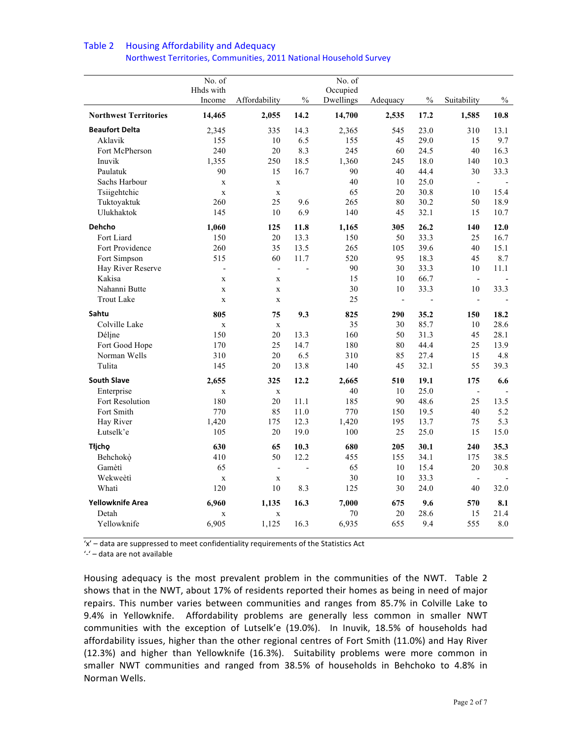|                              | No. of<br>Hhds with |                          |                | No. of<br>Occupied |                          |      |                          |         |
|------------------------------|---------------------|--------------------------|----------------|--------------------|--------------------------|------|--------------------------|---------|
|                              | Income              | Affordability            | $\frac{0}{0}$  | Dwellings          | Adequacy                 | $\%$ | Suitability              | $\%$    |
| <b>Northwest Territories</b> | 14,465              | 2,055                    | 14.2           | 14,700             | 2,535                    | 17.2 | 1,585                    | 10.8    |
| <b>Beaufort Delta</b>        | 2,345               | 335                      | 14.3           | 2,365              | 545                      | 23.0 | 310                      | 13.1    |
| Aklavik                      | 155                 | 10                       | 6.5            | 155                | 45                       | 29.0 | 15                       | 9.7     |
| Fort McPherson               | 240                 | $20\,$                   | 8.3            | 245                | 60                       | 24.5 | 40                       | 16.3    |
| Inuvik                       | 1,355               | 250                      | 18.5           | 1,360              | 245                      | 18.0 | 140                      | 10.3    |
| Paulatuk                     | 90                  | 15                       | 16.7           | 90                 | 40                       | 44.4 | 30                       | 33.3    |
| Sachs Harbour                | $\mathbf X$         | $\mathbf X$              |                | 40                 | 10                       | 25.0 | $\overline{\phantom{a}}$ |         |
| Tsiigehtchic                 | $\mathbf X$         | $\mathbf X$              |                | 65                 | 20                       | 30.8 | 10                       | 15.4    |
| Tuktoyaktuk                  | 260                 | 25                       | 9.6            | 265                | 80                       | 30.2 | 50                       | 18.9    |
| Ulukhaktok                   | 145                 | 10                       | 6.9            | 140                | 45                       | 32.1 | 15                       | 10.7    |
| <b>Dehcho</b>                | 1,060               | 125                      | 11.8           | 1,165              | 305                      | 26.2 | 140                      | 12.0    |
| Fort Liard                   | 150                 | 20                       | 13.3           | 150                | 50                       | 33.3 | 25                       | 16.7    |
| Fort Providence              | 260                 | 35                       | 13.5           | 265                | 105                      | 39.6 | 40                       | 15.1    |
| Fort Simpson                 | 515                 | 60                       | 11.7           | 520                | 95                       | 18.3 | 45                       | 8.7     |
| Hay River Reserve            | $\frac{1}{2}$       | $\overline{a}$           |                | 90                 | 30                       | 33.3 | 10                       | 11.1    |
| Kakisa                       | $\mathbf X$         | $\mathbf X$              |                | 15                 | 10                       | 66.7 | $\overline{\phantom{a}}$ |         |
| Nahanni Butte                | $\mathbf X$         | $\mathbf X$              |                | 30                 | 10                       | 33.3 | 10                       | 33.3    |
| <b>Trout Lake</b>            | $\mathbf x$         | $\mathbf x$              |                | 25                 | $\overline{\phantom{a}}$ | L,   | $\overline{\phantom{a}}$ |         |
| Sahtu                        | 805                 | 75                       | 9.3            | 825                | 290                      | 35.2 | 150                      | 18.2    |
| Colville Lake                | $\mathbf X$         | $\mathbf{x}$             |                | 35                 | 30                       | 85.7 | 10                       | 28.6    |
| Déline                       | 150                 | 20                       | 13.3           | 160                | 50                       | 31.3 | 45                       | 28.1    |
| Fort Good Hope               | 170                 | 25                       | 14.7           | 180                | 80                       | 44.4 | 25                       | 13.9    |
| Norman Wells                 | 310                 | 20                       | 6.5            | 310                | 85                       | 27.4 | 15                       | 4.8     |
| Tulita                       | 145                 | 20                       | 13.8           | 140                | 45                       | 32.1 | 55                       | 39.3    |
| <b>South Slave</b>           | 2,655               | 325                      | 12.2           | 2,665              | 510                      | 19.1 | 175                      | 6.6     |
| Enterprise                   | $\mathbf X$         | $\mathbf X$              |                | 40                 | 10                       | 25.0 | $\overline{a}$           |         |
| Fort Resolution              | 180                 | 20                       | 11.1           | 185                | 90                       | 48.6 | 25                       | 13.5    |
| Fort Smith                   | 770                 | 85                       | 11.0           | 770                | 150                      | 19.5 | 40                       | 5.2     |
| Hay River                    | 1,420               | 175                      | 12.3           | 1,420              | 195                      | 13.7 | 75                       | 5.3     |
| Łutselk'e                    | 105                 | 20                       | 19.0           | 100                | 25                       | 25.0 | 15                       | 15.0    |
| Tłjcho                       | 630                 | 65                       | 10.3           | 680                | 205                      | 30.1 | 240                      | 35.3    |
| Behchokò                     | 410                 | 50                       | 12.2           | 455                | 155                      | 34.1 | 175                      | 38.5    |
| Gamètì                       | 65                  | $\overline{\phantom{a}}$ | $\overline{a}$ | 65                 | 10                       | 15.4 | 20                       | 30.8    |
| Wekweètì                     | $\mathbf X$         | $\mathbf X$              |                | 30                 | 10                       | 33.3 | $\overline{a}$           |         |
| Whati                        | 120                 | 10                       | 8.3            | 125                | 30                       | 24.0 | 40                       | 32.0    |
| Yellowknife Area             | 6,960               | 1,135                    | 16.3           | 7,000              | 675                      | 9.6  | 570                      | 8.1     |
| Detah                        | $\mathbf X$         | $\mathbf X$              |                | 70                 | 20                       | 28.6 | 15                       | 21.4    |
| Yellowknife                  | 6,905               | 1,125                    | 16.3           | 6,935              | 655                      | 9.4  | 555                      | $8.0\,$ |
|                              |                     |                          |                |                    |                          |      |                          |         |

#### Table 2 Housing Affordability and Adequacy Northwest Territories, Communities, 2011 National Household Survey

'x' - data are suppressed to meet confidentiality requirements of the Statistics Act

'-' - data are not available

Housing adequacy is the most prevalent problem in the communities of the NWT. Table 2 shows that in the NWT, about 17% of residents reported their homes as being in need of major repairs. This number varies between communities and ranges from 85.7% in Colville Lake to 9.4% in Yellowknife. Affordability problems are generally less common in smaller NWT communities with the exception of Lutselk'e (19.0%). In Inuvik, 18.5% of households had affordability issues, higher than the other regional centres of Fort Smith (11.0%) and Hay River (12.3%) and higher than Yellowknife (16.3%). Suitability problems were more common in smaller NWT communities and ranged from 38.5% of households in Behchoko to 4.8% in Norman Wells.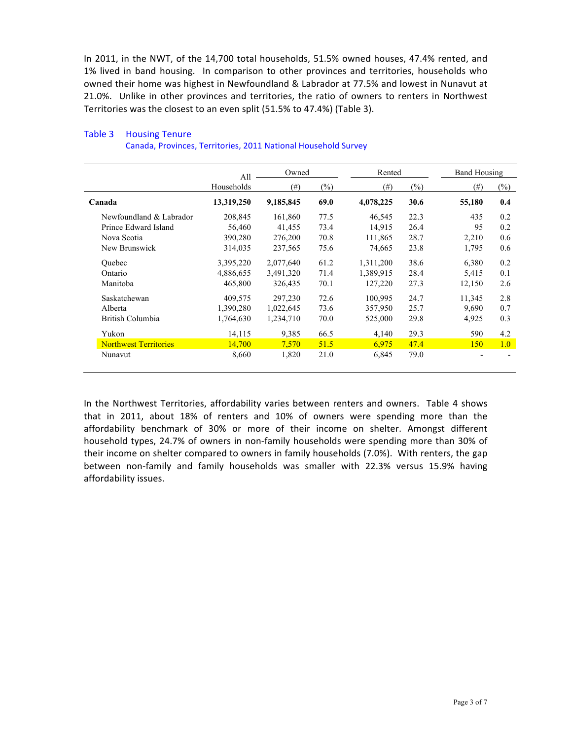In 2011, in the NWT, of the 14,700 total households, 51.5% owned houses, 47.4% rented, and 1% lived in band housing. In comparison to other provinces and territories, households who owned their home was highest in Newfoundland & Labrador at 77.5% and lowest in Nunavut at 21.0%. Unlike in other provinces and territories, the ratio of owners to renters in Northwest Territories was the closest to an even split (51.5% to 47.4%) (Table 3).

|                              | All        | Owned     |        | Rented    |        | <b>Band Housing</b> |                |
|------------------------------|------------|-----------|--------|-----------|--------|---------------------|----------------|
|                              | Households | $^{(#)}$  | $(\%)$ | $^{(#)}$  | $(\%)$ | (# )                | $(\%)$         |
| Canada                       | 13,319,250 | 9,185,845 | 69.0   | 4,078,225 | 30.6   | 55,180              | 0.4            |
| Newfoundland & Labrador      | 208,845    | 161,860   | 77.5   | 46,545    | 22.3   | 435                 | 0.2            |
| Prince Edward Island         | 56,460     | 41,455    | 73.4   | 14,915    | 26.4   | 95                  | 0.2            |
| Nova Scotia                  | 390,280    | 276,200   | 70.8   | 111,865   | 28.7   | 2,210               | 0.6            |
| New Brunswick                | 314,035    | 237,565   | 75.6   | 74,665    | 23.8   | 1,795               | 0.6            |
| <b>Ouebec</b>                | 3,395,220  | 2,077,640 | 61.2   | 1,311,200 | 38.6   | 6,380               | 0.2            |
| Ontario                      | 4,886,655  | 3,491,320 | 71.4   | 1,389,915 | 28.4   | 5,415               | 0.1            |
| Manitoba                     | 465,800    | 326,435   | 70.1   | 127,220   | 27.3   | 12,150              | 2.6            |
| Saskatchewan                 | 409,575    | 297,230   | 72.6   | 100,995   | 24.7   | 11,345              | 2.8            |
| Alberta                      | 1,390,280  | 1,022,645 | 73.6   | 357,950   | 25.7   | 9,690               | 0.7            |
| British Columbia             | 1,764,630  | 1,234,710 | 70.0   | 525,000   | 29.8   | 4,925               | 0.3            |
| Yukon                        | 14,115     | 9,385     | 66.5   | 4,140     | 29.3   | 590                 | 4.2            |
| <b>Northwest Territories</b> | 14,700     | 7.570     | 51.5   | 6,975     | 47.4   | 150                 | 1.0            |
| Nunavut                      | 8,660      | 1,820     | 21.0   | 6,845     | 79.0   |                     | $\blacksquare$ |

## Table 3 Housing Tenure

))))))))))))))))))Canada,)Provinces,)Territories,)2011)National)Household)Survey

In the Northwest Territories, affordability varies between renters and owners. Table 4 shows that in 2011, about 18% of renters and 10% of owners were spending more than the affordability benchmark of 30% or more of their income on shelter. Amongst different household types, 24.7% of owners in non-family households were spending more than 30% of their income on shelter compared to owners in family households (7.0%). With renters, the gap between non-family and family households was smaller with 22.3% versus 15.9% having affordability issues.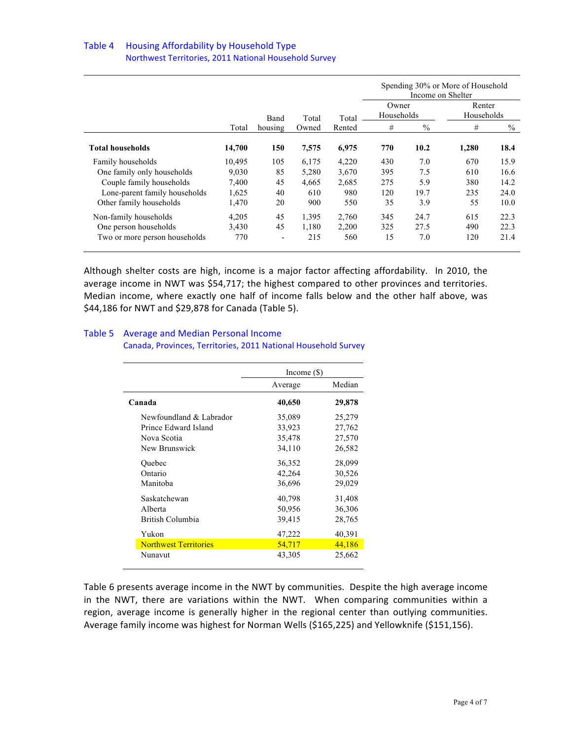#### Table 4 Housing Affordability by Household Type ))))))))))))))))))Northwest Territories,)2011)National)Household)Survey)

|                               |        |         |       |        |            | Income on Shelter | Spending 30% or More of Household |      |
|-------------------------------|--------|---------|-------|--------|------------|-------------------|-----------------------------------|------|
|                               |        |         |       |        | Owner      |                   | Renter                            |      |
|                               |        | Band    | Total | Total  | Households |                   | Households                        |      |
|                               | Total  | housing | Owned | Rented | #          | $\%$              | #                                 | $\%$ |
| Total households              | 14,700 | 150     | 7,575 | 6,975  | 770        | 10.2              | 1,280                             | 18.4 |
| Family households             | 10.495 | 105     | 6,175 | 4,220  | 430        | 7.0               | 670                               | 15.9 |
| One family only households    | 9,030  | 85      | 5,280 | 3,670  | 395        | 7.5               | 610                               | 16.6 |
| Couple family households      | 7,400  | 45      | 4,665 | 2,685  | 275        | 5.9               | 380                               | 14.2 |
| Lone-parent family households | 1,625  | 40      | 610   | 980    | 120        | 19.7              | 235                               | 24.0 |
| Other family households       | 1,470  | 20      | 900   | 550    | 35         | 3.9               | 55                                | 10.0 |
| Non-family households         | 4,205  | 45      | 1,395 | 2,760  | 345        | 24.7              | 615                               | 22.3 |
| One person households         | 3,430  | 45      | 1,180 | 2,200  | 325        | 27.5              | 490                               | 22.3 |
| Two or more person households | 770    | -       | 215   | 560    | 15         | 7.0               | 120                               | 21.4 |

Although shelter costs are high, income is a major factor affecting affordability. In 2010, the average income in NWT was \$54,717; the highest compared to other provinces and territories. Median income, where exactly one half of income falls below and the other half above, was \$44,186 for NWT and \$29,878 for Canada (Table 5).

#### Table 5 Average and Median Personal Income

|                              | Income $(\$)$ |        |
|------------------------------|---------------|--------|
|                              | Average       | Median |
| Canada                       | 40,650        | 29,878 |
| Newfoundland & Labrador      | 35,089        | 25,279 |
| Prince Edward Island         | 33,923        | 27,762 |
| Nova Scotia                  | 35,478        | 27,570 |
| New Brunswick                | 34,110        | 26,582 |
| Quebec                       | 36,352        | 28,099 |
| Ontario                      | 42,264        | 30,526 |
| Manitoba                     | 36,696        | 29,029 |
| Saskatchewan                 | 40,798        | 31,408 |
| Alberta                      | 50,956        | 36,306 |
| British Columbia             | 39,415        | 28,765 |
| Yukon                        | 47,222        | 40,391 |
| <b>Northwest Territories</b> | 54,717        | 44,186 |
| Nunavut                      | 43,305        | 25,662 |

)))))))))))))))))Canada,)Provinces,)Territories,)2011)National)Household)Survey

Table 6 presents average income in the NWT by communities. Despite the high average income in the NWT, there are variations within the NWT. When comparing communities within a region, average income is generally higher in the regional center than outlying communities. Average family income was highest for Norman Wells (\$165,225) and Yellowknife (\$151,156).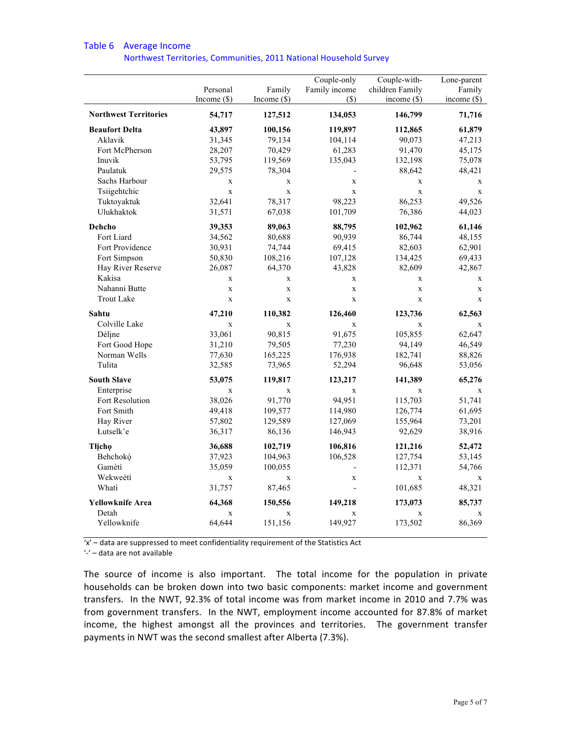|                              | Personal<br>Income $(\$)$ | Family<br>Income $(\$)$ | Couple-only<br>Family income<br>$(\$)$ | Couple-with-<br>children Family<br>income $(\$)$ | Lone-parent<br>Family<br>income $(\$)$ |
|------------------------------|---------------------------|-------------------------|----------------------------------------|--------------------------------------------------|----------------------------------------|
| <b>Northwest Territories</b> | 54,717                    | 127,512                 | 134,053                                | 146,799                                          | 71,716                                 |
| <b>Beaufort Delta</b>        | 43,897                    | 100,156                 | 119,897                                | 112,865                                          | 61,879                                 |
| Aklavik                      | 31,345                    | 79,134                  | 104,114                                | 90,073                                           | 47,213                                 |
| Fort McPherson               | 28,207                    | 70,429                  | 61,283                                 | 91,470                                           | 45,175                                 |
| Inuvik                       | 53,795                    | 119,569                 | 135,043                                | 132,198                                          | 75,078                                 |
| Paulatuk                     | 29,575                    | 78,304                  | $\overline{a}$                         | 88,642                                           | 48,421                                 |
| Sachs Harbour                | $\mathbf X$               | $\mathbf{X}$            | $\mathbf X$                            | $\mathbf X$                                      | $\mathbf X$                            |
| Tsiigehtchic                 | $\mathbf X$               | $\mathbf X$             | X                                      | $\mathbf X$                                      | $\mathbf X$                            |
| Tuktoyaktuk                  | 32,641                    | 78,317                  | 98,223                                 | 86,253                                           | 49,526                                 |
| Ulukhaktok                   | 31,571                    | 67,038                  | 101,709                                | 76,386                                           | 44,023                                 |
| Dehcho                       | 39,353                    | 89,063                  | 88,795                                 | 102,962                                          | 61,146                                 |
| Fort Liard                   | 34,562                    | 80,688                  | 90,939                                 | 86,744                                           | 48,155                                 |
| Fort Providence              | 30,931                    | 74,744                  | 69,415                                 | 82,603                                           | 62,901                                 |
| Fort Simpson                 | 50,830                    | 108,216                 | 107,128                                | 134,425                                          | 69,433                                 |
| Hay River Reserve            | 26,087                    | 64,370                  | 43,828                                 | 82,609                                           | 42,867                                 |
| Kakisa                       | $\mathbf X$               | X                       | $\mathbf X$                            | $\mathbf X$                                      | X                                      |
| Nahanni Butte                | $\mathbf X$               | $\mathbf{x}$            | $\mathbf X$                            | $\mathbf X$                                      | $\mathbf X$                            |
| <b>Trout Lake</b>            | $\mathbf X$               | $\mathbf X$             | $\mathbf X$                            | $\mathbf X$                                      | $\mathbf x$                            |
| Sahtu                        | 47,210                    | 110,382                 | 126,460                                | 123,736                                          | 62,563                                 |
| Colville Lake                | $\mathbf X$               | $\mathbf X$             | $\mathbf x$                            | $\mathbf x$                                      | $\mathbf x$                            |
| Déline                       | 33,061                    | 90,815                  | 91,675                                 | 105,855                                          | 62,647                                 |
| Fort Good Hope               | 31,210                    | 79,505                  | 77,230                                 | 94,149                                           | 46,549                                 |
| Norman Wells                 | 77,630                    | 165,225                 | 176,938                                | 182,741                                          | 88,826                                 |
| Tulita                       | 32,585                    | 73,965                  | 52,294                                 | 96,648                                           | 53,056                                 |
| <b>South Slave</b>           | 53,075                    | 119,817                 | 123,217                                | 141,389                                          | 65,276                                 |
| Enterprise                   | $\mathbf x$               | $\mathbf{x}$            | $\mathbf x$                            | $\mathbf x$                                      | $\mathbf x$                            |
| Fort Resolution              | 38,026                    | 91,770                  | 94,951                                 | 115,703                                          | 51,741                                 |
| Fort Smith                   | 49,418                    | 109,577                 | 114,980                                | 126,774                                          | 61,695                                 |
| Hay River                    | 57,802                    | 129,589                 | 127,069                                | 155,964                                          | 73,201                                 |
| Łutselk'e                    | 36,317                    | 86,136                  | 146,943                                | 92,629                                           | 38,916                                 |
| <b>Tlicho</b>                | 36,688                    | 102,719                 | 106,816                                | 121,216                                          | 52,472                                 |
| Behchokò                     | 37,923                    | 104,963                 | 106,528                                | 127,754                                          | 53,145                                 |
| Gamètì                       | 35,059                    | 100,055                 | $\overline{a}$                         | 112,371                                          | 54,766                                 |
| Wekweètì                     | $\mathbf X$               | $\mathbf X$             | $\mathbf X$                            | $\mathbf X$                                      | $\mathbf X$                            |
| Whati                        | 31,757                    | 87,465                  | $\overline{a}$                         | 101,685                                          | 48,321                                 |
| <b>Yellowknife Area</b>      | 64,368                    | 150,556                 | 149,218                                | 173,073                                          | 85,737                                 |
| Detah                        | $\mathbf X$               | $\mathbf X$             | $\mathbf X$                            | $\mathbf X$                                      | $\mathbf X$                            |
| Yellowknife                  | 64,644                    | 151,156                 | 149,927                                | 173,502                                          | 86,369                                 |
|                              |                           |                         |                                        |                                                  |                                        |

### Table 6 Average Income

)))))))))))))))))))Northwest)Territories,)Communities,)2011)National)Household)Survey

'x' – data are suppressed to meet confidentiality requirement of the Statistics Act

'-' - data are not available

The source of income is also important. The total income for the population in private households can be broken down into two basic components: market income and government transfers. In the NWT, 92.3% of total income was from market income in 2010 and 7.7% was from government transfers. In the NWT, employment income accounted for 87.8% of market income, the highest amongst all the provinces and territories. The government transfer payments in NWT was the second smallest after Alberta (7.3%).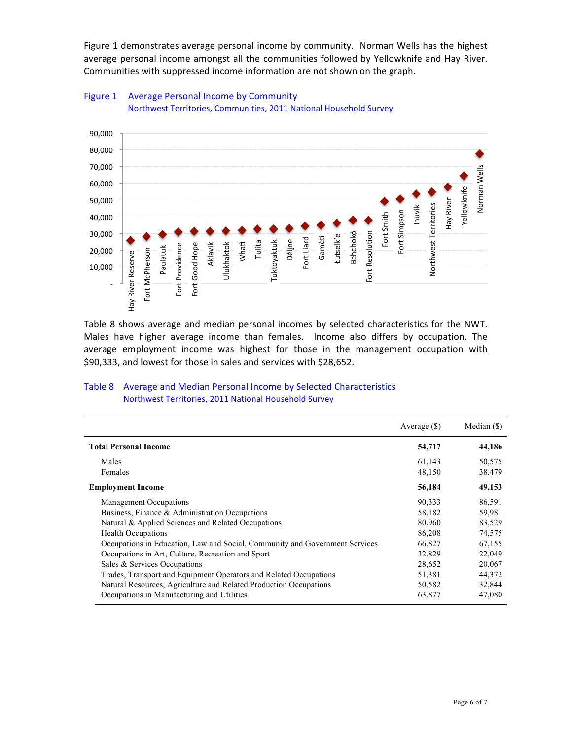Figure 1 demonstrates average personal income by community. Norman Wells has the highest average personal income amongst all the communities followed by Yellowknife and Hay River. Communities with suppressed income information are not shown on the graph.



# Figure 1 Average Personal Income by Community )))))))))))))))))))Northwest)Territories,)Communities,)2011)National)Household)Survey

#### Table 8 Average and Median Personal Income by Selected Characteristics )))))))))))))))) Northwest)Territories,)2011)National)Household)Survey

| 60,000<br>50,000<br>Fort Smith<br>40,000<br>Fort Resolution<br>30,000<br>Behchokò<br>Łutselk'e<br>Gamètì<br>Fort Liard<br>Déljne<br>Tulita<br>Tuktoyaktuk<br><b>Ulukhaktok</b><br>Whati<br>Fort Good Hope<br>Aklavik<br>Fort Providence<br>Paulatuk<br>Fort McPherson<br>20,000<br>Hay River Reserve<br>10,000<br>Table 8 shows average and median personal incomes by selected characteristics for the NWT.<br>Males have higher average income than females. Income also differs by occupation. The<br>average employment income was highest for those in the management occupation with<br>\$90,333, and lowest for those in sales and services with \$28,652. | Hay River<br>Northwest Territories<br>Inuvik<br>Fort Simpson | Norman Wells<br>Yellowknife |
|-------------------------------------------------------------------------------------------------------------------------------------------------------------------------------------------------------------------------------------------------------------------------------------------------------------------------------------------------------------------------------------------------------------------------------------------------------------------------------------------------------------------------------------------------------------------------------------------------------------------------------------------------------------------|--------------------------------------------------------------|-----------------------------|
| <b>Table 8</b><br>Average and Median Personal Income by Selected Characteristics                                                                                                                                                                                                                                                                                                                                                                                                                                                                                                                                                                                  |                                                              |                             |
| Northwest Territories, 2011 National Household Survey                                                                                                                                                                                                                                                                                                                                                                                                                                                                                                                                                                                                             |                                                              |                             |
|                                                                                                                                                                                                                                                                                                                                                                                                                                                                                                                                                                                                                                                                   | Average (\$)                                                 | Median (\$)                 |
| <b>Total Personal Income</b>                                                                                                                                                                                                                                                                                                                                                                                                                                                                                                                                                                                                                                      | 54,717                                                       | 44,186                      |
| Males                                                                                                                                                                                                                                                                                                                                                                                                                                                                                                                                                                                                                                                             | 61,143                                                       | 50,575                      |
| Females                                                                                                                                                                                                                                                                                                                                                                                                                                                                                                                                                                                                                                                           | 48,150                                                       | 38,479                      |
| <b>Employment Income</b>                                                                                                                                                                                                                                                                                                                                                                                                                                                                                                                                                                                                                                          | 56,184                                                       | 49,153                      |
| Management Occupations                                                                                                                                                                                                                                                                                                                                                                                                                                                                                                                                                                                                                                            | 90,333                                                       | 86,591                      |
| Business, Finance & Administration Occupations                                                                                                                                                                                                                                                                                                                                                                                                                                                                                                                                                                                                                    | 58,182                                                       | 59,981                      |
| Natural & Applied Sciences and Related Occupations                                                                                                                                                                                                                                                                                                                                                                                                                                                                                                                                                                                                                | 80,960                                                       | 83,529                      |
| <b>Health Occupations</b>                                                                                                                                                                                                                                                                                                                                                                                                                                                                                                                                                                                                                                         | 86,208                                                       | 74,575                      |
| Occupations in Education, Law and Social, Community and Government Services                                                                                                                                                                                                                                                                                                                                                                                                                                                                                                                                                                                       | 66,827                                                       | 67,155                      |
| Occupations in Art, Culture, Recreation and Sport                                                                                                                                                                                                                                                                                                                                                                                                                                                                                                                                                                                                                 | 32,829                                                       | 22,049                      |
| Sales & Services Occupations                                                                                                                                                                                                                                                                                                                                                                                                                                                                                                                                                                                                                                      | 28,652                                                       | 20,067                      |
| Trades, Transport and Equipment Operators and Related Occupations                                                                                                                                                                                                                                                                                                                                                                                                                                                                                                                                                                                                 | 51,381                                                       | 44,372                      |
| Natural Resources, Agriculture and Related Production Occupations<br>Occupations in Manufacturing and Utilities                                                                                                                                                                                                                                                                                                                                                                                                                                                                                                                                                   | 50,582<br>63,877                                             | 32,844<br>47,080            |